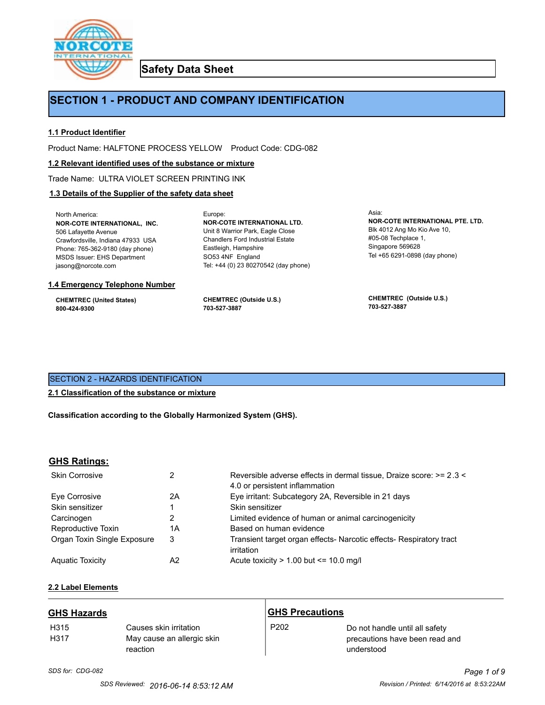

**Safety Data Sheet**

## **SECTION 1 - PRODUCT AND COMPANY IDENTIFICATION**

Europe:

### **1.1 Product Identifier**

Product Name: HALFTONE PROCESS YELLOW Product Code: CDG-082

#### **1.2 Relevant identified uses of the substance or mixture**

Trade Name: ULTRA VIOLET SCREEN PRINTING INK

## **1.3 Details of the Supplier of the safety data sheet**

North America: **NOR-COTE INTERNATIONAL, INC.** 506 Lafayette Avenue Crawfordsville, Indiana 47933 USA Phone: 765-362-9180 (day phone) MSDS Issuer: EHS Department jasong@norcote.com

#### **1.4 Emergency Telephone Number**

**CHEMTREC (United States) 800-424-9300**

**CHEMTREC (Outside U.S.) 703-527-3887**

Eastleigh, Hampshire SO53 4NF England

**NOR-COTE INTERNATIONAL LTD.** Unit 8 Warrior Park, Eagle Close Chandlers Ford Industrial Estate

Tel: +44 (0) 23 80270542 (day phone)

Asia: **NOR-COTE INTERNATIONAL PTE. LTD.** Blk 4012 Ang Mo Kio Ave 10, #05-08 Techplace 1, Singapore 569628 Tel +65 6291-0898 (day phone)

**CHEMTREC (Outside U.S.) 703-527-3887**

## SECTION 2 - HAZARDS IDENTIFICATION

#### **2.1 Classification of the substance or mixture**

**Classification according to the Globally Harmonized System (GHS).**

#### **GHS Ratings:**

| <b>Skin Corrosive</b>       |    | Reversible adverse effects in dermal tissue, Draize score: >= 2.3 <<br>4.0 or persistent inflammation |
|-----------------------------|----|-------------------------------------------------------------------------------------------------------|
| Eve Corrosive               | 2Α | Eye irritant: Subcategory 2A, Reversible in 21 days                                                   |
| Skin sensitizer             |    | Skin sensitizer                                                                                       |
| Carcinogen                  | 2  | Limited evidence of human or animal carcinogenicity                                                   |
| Reproductive Toxin          | 1Α | Based on human evidence                                                                               |
| Organ Toxin Single Exposure | 3  | Transient target organ effects- Narcotic effects- Respiratory tract<br>irritation                     |
| <b>Aguatic Toxicity</b>     | A2 | Acute toxicity $> 1.00$ but $\leq 10.0$ mg/l                                                          |

## **2.2 Label Elements**

| <b>GHS Hazards</b> |                                                                  | <b>GHS Precautions</b> |                                                                                |
|--------------------|------------------------------------------------------------------|------------------------|--------------------------------------------------------------------------------|
| H315<br>H317       | Causes skin irritation<br>May cause an allergic skin<br>reaction | P <sub>202</sub>       | Do not handle until all safety<br>precautions have been read and<br>understood |

# *SDS for: CDG-082 Page 1 of 9*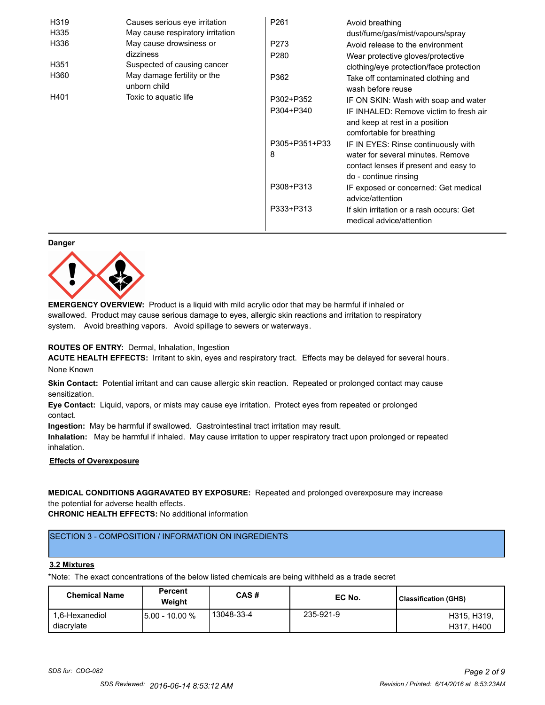| H319 | Causes serious eye irritation               | P <sub>261</sub> | Avoid breathing                                                      |
|------|---------------------------------------------|------------------|----------------------------------------------------------------------|
| H335 | May cause respiratory irritation            |                  | dust/fume/gas/mist/vapours/spray                                     |
| H336 | May cause drowsiness or                     | P273             | Avoid release to the environment                                     |
|      | dizziness                                   | P <sub>280</sub> | Wear protective gloves/protective                                    |
| H351 | Suspected of causing cancer                 |                  | clothing/eye protection/face protection                              |
| H360 | May damage fertility or the<br>unborn child | P362             | Take off contaminated clothing and<br>wash before reuse              |
| H401 | Toxic to aquatic life                       | P302+P352        | IF ON SKIN: Wash with soap and water                                 |
|      |                                             | P304+P340        | IF INHALED: Remove victim to fresh air                               |
|      |                                             |                  | and keep at rest in a position                                       |
|      |                                             |                  | comfortable for breathing                                            |
|      |                                             | P305+P351+P33    | IF IN EYES: Rinse continuously with                                  |
|      |                                             | 8                | water for several minutes. Remove                                    |
|      |                                             |                  | contact lenses if present and easy to                                |
|      |                                             |                  | do - continue rinsing                                                |
|      |                                             | P308+P313        | IF exposed or concerned: Get medical                                 |
|      |                                             |                  | advice/attention                                                     |
|      |                                             | P333+P313        | If skin irritation or a rash occurs: Get<br>medical advice/attention |

#### **Danger**



**EMERGENCY OVERVIEW:** Product is a liquid with mild acrylic odor that may be harmful if inhaled or swallowed. Product may cause serious damage to eyes, allergic skin reactions and irritation to respiratory system. Avoid breathing vapors. Avoid spillage to sewers or waterways.

#### **ROUTES OF ENTRY:** Dermal, Inhalation, Ingestion

**ACUTE HEALTH EFFECTS:** Irritant to skin, eyes and respiratory tract. Effects may be delayed for several hours. None Known

**Skin Contact:** Potential irritant and can cause allergic skin reaction. Repeated or prolonged contact may cause sensitization.

**Eye Contact:** Liquid, vapors, or mists may cause eye irritation. Protect eyes from repeated or prolonged contact.

**Ingestion:** May be harmful if swallowed. Gastrointestinal tract irritation may result.

**Inhalation:** May be harmful if inhaled. May cause irritation to upper respiratory tract upon prolonged or repeated inhalation.

## **Effects of Overexposure**

## **MEDICAL CONDITIONS AGGRAVATED BY EXPOSURE:** Repeated and prolonged overexposure may increase the potential for adverse health effects.

**CHRONIC HEALTH EFFECTS:** No additional information

## SECTION 3 - COMPOSITION / INFORMATION ON INGREDIENTS

#### **3.2 Mixtures**

\*Note: The exact concentrations of the below listed chemicals are being withheld as a trade secret

| <b>Chemical Name</b>         | <b>Percent</b><br>Weiaht | CAS#       | EC No.    | Classification (GHS)      |
|------------------------------|--------------------------|------------|-----------|---------------------------|
| 1.6-Hexanediol<br>diacrylate | 15.00 - 10.00 %          | 13048-33-4 | 235-921-9 | H315, H319.<br>H317, H400 |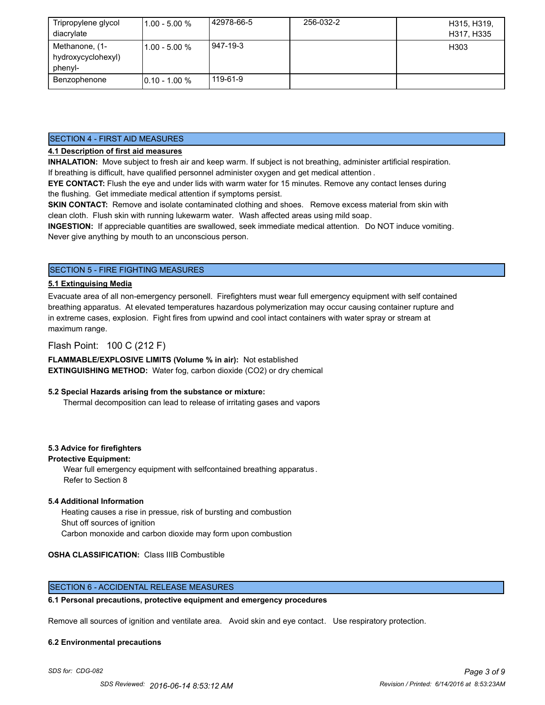| Tripropylene glycol<br>diacrylate               | $11.00 - 5.00 %$ | 42978-66-5 | 256-032-2 | H315, H319,<br>H317, H335 |
|-------------------------------------------------|------------------|------------|-----------|---------------------------|
| Methanone, (1-<br>hydroxycyclohexyl)<br>phenyl- | $11.00 - 5.00 %$ | 947-19-3   |           | H303                      |
| Benzophenone                                    | $10.10 - 1.00 %$ | 119-61-9   |           |                           |

#### SECTION 4 - FIRST AID MEASURES

### **4.1 Description of first aid measures**

**INHALATION:** Move subject to fresh air and keep warm. If subject is not breathing, administer artificial respiration. If breathing is difficult, have qualified personnel administer oxygen and get medical attention .

**EYE CONTACT:** Flush the eye and under lids with warm water for 15 minutes. Remove any contact lenses during the flushing. Get immediate medical attention if symptoms persist.

**SKIN CONTACT:** Remove and isolate contaminated clothing and shoes. Remove excess material from skin with clean cloth. Flush skin with running lukewarm water. Wash affected areas using mild soap.

**INGESTION:** If appreciable quantities are swallowed, seek immediate medical attention. Do NOT induce vomiting. Never give anything by mouth to an unconscious person.

## SECTION 5 - FIRE FIGHTING MEASURES

#### **5.1 Extinguising Media**

Evacuate area of all non-emergency personell. Firefighters must wear full emergency equipment with self contained breathing apparatus. At elevated temperatures hazardous polymerization may occur causing container rupture and in extreme cases, explosion. Fight fires from upwind and cool intact containers with water spray or stream at maximum range.

### Flash Point: 100 C (212 F)

**FLAMMABLE/EXPLOSIVE LIMITS (Volume % in air):** Not established **EXTINGUISHING METHOD:** Water fog, carbon dioxide (CO2) or dry chemical

#### **5.2 Special Hazards arising from the substance or mixture:**

Thermal decomposition can lead to release of irritating gases and vapors

#### **5.3 Advice for firefighters**

#### **Protective Equipment:**

Wear full emergency equipment with selfcontained breathing apparatus . Refer to Section 8

#### **5.4 Additional Information**

 Heating causes a rise in pressue, risk of bursting and combustion Shut off sources of ignition Carbon monoxide and carbon dioxide may form upon combustion

#### **OSHA CLASSIFICATION:** Class IIIB Combustible

#### SECTION 6 - ACCIDENTAL RELEASE MEASURES

#### **6.1 Personal precautions, protective equipment and emergency procedures**

Remove all sources of ignition and ventilate area. Avoid skin and eye contact. Use respiratory protection.

#### **6.2 Environmental precautions**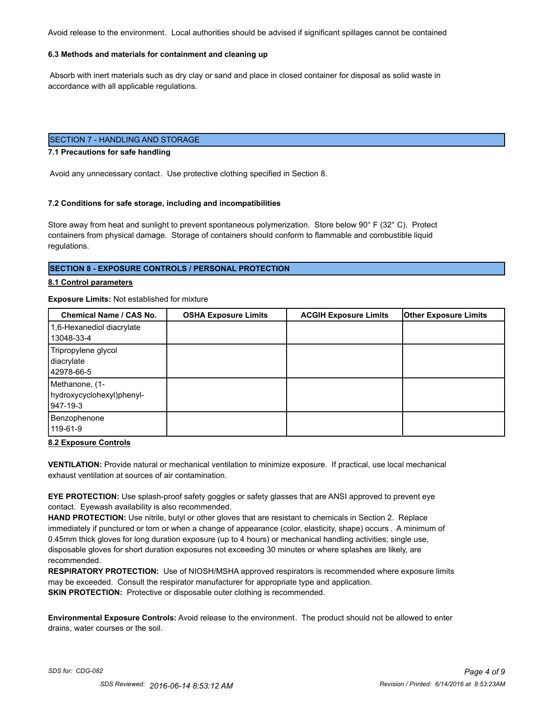Avoid release to the environment. Local authorities should be advised if significant spillages cannot be contained

#### **6.3 Methods and materials for containment and cleaning up**

 Absorb with inert materials such as dry clay or sand and place in closed container for disposal as solid waste in accordance with all applicable regulations.

## SECTION 7 - HANDLING AND STORAGE

#### **7.1 Precautions for safe handling**

Avoid any unnecessary contact. Use protective clothing specified in Section 8.

#### **7.2 Conditions for safe storage, including and incompatibilities**

Store away from heat and sunlight to prevent spontaneous polymerization. Store below 90° F (32° C). Protect containers from physical damage. Storage of containers should conform to flammable and combustible liquid regulations.

#### **SECTION 8 - EXPOSURE CONTROLS / PERSONAL PROTECTION**

#### **8.1 Control parameters**

#### **Exposure Limits:** Not established for mixture

| <b>Chemical Name / CAS No.</b>                          | <b>OSHA Exposure Limits</b> | <b>ACGIH Exposure Limits</b> | <b>Other Exposure Limits</b> |
|---------------------------------------------------------|-----------------------------|------------------------------|------------------------------|
| 1,6-Hexanediol diacrylate<br>13048-33-4                 |                             |                              |                              |
| Tripropylene glycol<br>diacrylate<br>42978-66-5         |                             |                              |                              |
| Methanone, (1-<br>hydroxycyclohexyl)phenyl-<br>947-19-3 |                             |                              |                              |
| Benzophenone<br>119-61-9                                |                             |                              |                              |

#### **8.2 Exposure Controls**

**VENTILATION:** Provide natural or mechanical ventilation to minimize exposure. If practical, use local mechanical exhaust ventilation at sources of air contamination.

**EYE PROTECTION:** Use splash-proof safety goggles or safety glasses that are ANSI approved to prevent eye contact. Eyewash availability is also recommended.

**HAND PROTECTION:** Use nitrile, butyl or other gloves that are resistant to chemicals in Section 2. Replace immediately if punctured or torn or when a change of appearance (color, elasticity, shape) occurs . A minimum of 0.45mm thick gloves for long duration exposure (up to 4 hours) or mechanical handling activities; single use, disposable gloves for short duration exposures not exceeding 30 minutes or where splashes are likely, are recommended.

**RESPIRATORY PROTECTION:** Use of NIOSH/MSHA approved respirators is recommended where exposure limits may be exceeded. Consult the respirator manufacturer for appropriate type and application. **SKIN PROTECTION:** Protective or disposable outer clothing is recommended.

**Environmental Exposure Controls:** Avoid release to the environment. The product should not be allowed to enter drains, water courses or the soil.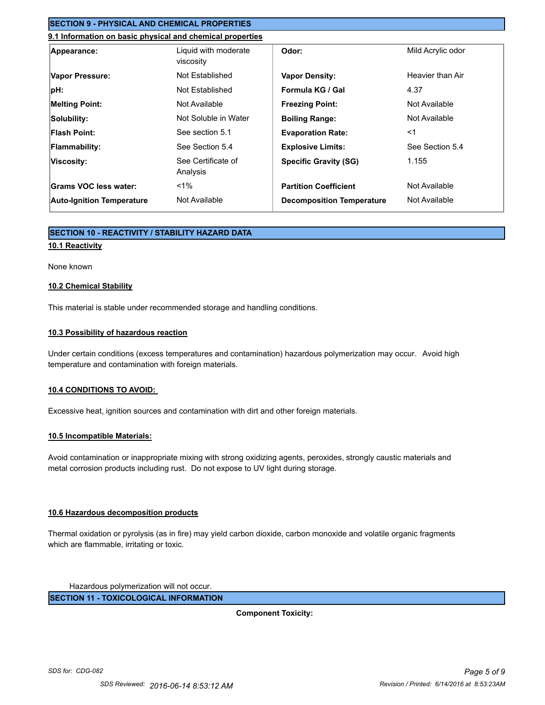## **SECTION 9 - PHYSICAL AND CHEMICAL PROPERTIES**

## **9.1 Information on basic physical and chemical properties**

| Appearance:                      | Liquid with moderate<br>viscosity | Odor:                            | Mild Acrylic odor |
|----------------------------------|-----------------------------------|----------------------------------|-------------------|
| Vapor Pressure:                  | Not Established                   | <b>Vapor Density:</b>            | Heavier than Air  |
| pH:                              | Not Established                   | Formula KG / Gal                 | 4.37              |
| <b>Melting Point:</b>            | Not Available                     | <b>Freezing Point:</b>           | Not Available     |
| Solubility:                      | Not Soluble in Water              | <b>Boiling Range:</b>            | Not Available     |
| <b>Flash Point:</b>              | See section 5.1                   | <b>Evaporation Rate:</b>         | $<$ 1             |
| <b>Flammability:</b>             | See Section 5.4                   | <b>Explosive Limits:</b>         | See Section 5.4   |
| Viscosity:                       | See Certificate of<br>Analysis    | <b>Specific Gravity (SG)</b>     | 1.155             |
| Grams VOC less water:            | $< 1\%$                           | <b>Partition Coefficient</b>     | Not Available     |
| <b>Auto-Ignition Temperature</b> | Not Available                     | <b>Decomposition Temperature</b> | Not Available     |

### **SECTION 10 - REACTIVITY / STABILITY HAZARD DATA**

#### **10.1 Reactivity**

#### None known

#### **10.2 Chemical Stability**

This material is stable under recommended storage and handling conditions.

#### **10.3 Possibility of hazardous reaction**

Under certain conditions (excess temperatures and contamination) hazardous polymerization may occur. Avoid high temperature and contamination with foreign materials.

#### **10.4 CONDITIONS TO AVOID:**

Excessive heat, ignition sources and contamination with dirt and other foreign materials.

#### **10.5 Incompatible Materials:**

Avoid contamination or inappropriate mixing with strong oxidizing agents, peroxides, strongly caustic materials and metal corrosion products including rust. Do not expose to UV light during storage.

#### **10.6 Hazardous decomposition products**

Thermal oxidation or pyrolysis (as in fire) may yield carbon dioxide, carbon monoxide and volatile organic fragments which are flammable, irritating or toxic.

Hazardous polymerization will not occur.

**SECTION 11 - TOXICOLOGICAL INFORMATION**

**Component Toxicity:**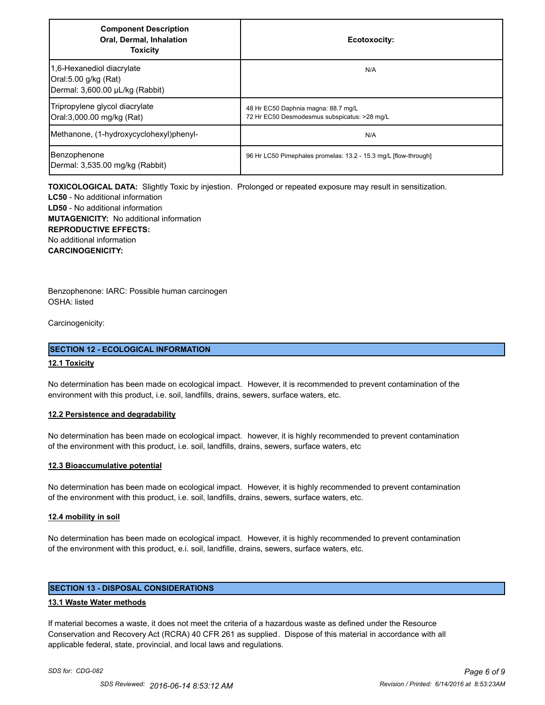| <b>Component Description</b><br>Oral, Dermal, Inhalation<br><b>Toxicity</b>          | Ecotoxocity:                                                                        |
|--------------------------------------------------------------------------------------|-------------------------------------------------------------------------------------|
| 1,6-Hexanediol diacrylate<br>Oral:5.00 g/kg (Rat)<br>Dermal: 3,600.00 µL/kg (Rabbit) | N/A                                                                                 |
| Tripropylene glycol diacrylate<br>Oral:3,000.00 mg/kg (Rat)                          | 48 Hr EC50 Daphnia magna: 88.7 mg/L<br>72 Hr EC50 Desmodesmus subspicatus: >28 mg/L |
| Methanone, (1-hydroxycyclohexyl)phenyl-                                              | N/A                                                                                 |
| Benzophenone<br>Dermal: 3,535.00 mg/kg (Rabbit)                                      | 96 Hr LC50 Pimephales promelas: 13.2 - 15.3 mg/L [flow-through]                     |

**TOXICOLOGICAL DATA:** Slightly Toxic by injestion. Prolonged or repeated exposure may result in sensitization.

**LC50** - No additional information **LD50** - No additional information **MUTAGENICITY:** No additional information **REPRODUCTIVE EFFECTS:** No additional information **CARCINOGENICITY:**

Benzophenone: IARC: Possible human carcinogen OSHA: listed

Carcinogenicity:

#### **SECTION 12 - ECOLOGICAL INFORMATION**

#### **12.1 Toxicity**

No determination has been made on ecological impact. However, it is recommended to prevent contamination of the environment with this product, i.e. soil, landfills, drains, sewers, surface waters, etc.

#### **12.2 Persistence and degradability**

No determination has been made on ecological impact. however, it is highly recommended to prevent contamination of the environment with this product, i.e. soil, landfills, drains, sewers, surface waters, etc

#### **12.3 Bioaccumulative potential**

No determination has been made on ecological impact. However, it is highly recommended to prevent contamination of the environment with this product, i.e. soil, landfills, drains, sewers, surface waters, etc.

#### **12.4 mobility in soil**

No determination has been made on ecological impact. However, it is highly recommended to prevent contamination of the environment with this product, e.i. soil, landfille, drains, sewers, surface waters, etc.

## **SECTION 13 - DISPOSAL CONSIDERATIONS**

#### **13.1 Waste Water methods**

If material becomes a waste, it does not meet the criteria of a hazardous waste as defined under the Resource Conservation and Recovery Act (RCRA) 40 CFR 261 as supplied. Dispose of this material in accordance with all applicable federal, state, provincial, and local laws and regulations.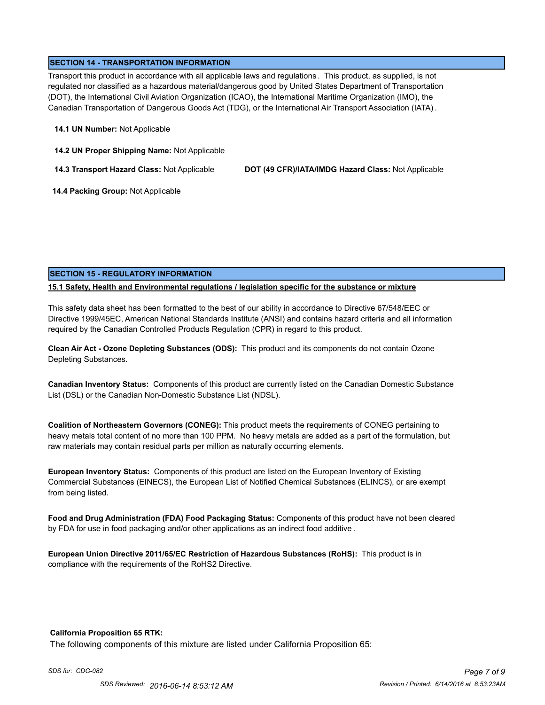#### **SECTION 14 - TRANSPORTATION INFORMATION**

Transport this product in accordance with all applicable laws and regulations . This product, as supplied, is not regulated nor classified as a hazardous material/dangerous good by United States Department of Transportation (DOT), the International Civil Aviation Organization (ICAO), the International Maritime Organization (IMO), the Canadian Transportation of Dangerous Goods Act (TDG), or the International Air Transport Association (IATA) .

#### **14.1 UN Number:** Not Applicable

**14.2 UN Proper Shipping Name:** Not Applicable

**14.3 Transport Hazard Class:** Not Applicable **DOT (49 CFR)/IATA/IMDG Hazard Class:** Not Applicable

 **14.4 Packing Group:** Not Applicable

### **SECTION 15 - REGULATORY INFORMATION**

#### **15.1 Safety, Health and Environmental regulations / legislation specific for the substance or mixture**

This safety data sheet has been formatted to the best of our ability in accordance to Directive 67/548/EEC or Directive 1999/45EC, American National Standards Institute (ANSI) and contains hazard criteria and all information required by the Canadian Controlled Products Regulation (CPR) in regard to this product.

**Clean Air Act - Ozone Depleting Substances (ODS):** This product and its components do not contain Ozone Depleting Substances.

**Canadian Inventory Status:** Components of this product are currently listed on the Canadian Domestic Substance List (DSL) or the Canadian Non-Domestic Substance List (NDSL).

**Coalition of Northeastern Governors (CONEG):** This product meets the requirements of CONEG pertaining to heavy metals total content of no more than 100 PPM. No heavy metals are added as a part of the formulation, but raw materials may contain residual parts per million as naturally occurring elements.

**European Inventory Status:** Components of this product are listed on the European Inventory of Existing Commercial Substances (EINECS), the European List of Notified Chemical Substances (ELINCS), or are exempt from being listed.

**Food and Drug Administration (FDA) Food Packaging Status:** Components of this product have not been cleared by FDA for use in food packaging and/or other applications as an indirect food additive .

**European Union Directive 2011/65/EC Restriction of Hazardous Substances (RoHS):** This product is in compliance with the requirements of the RoHS2 Directive.

#### **California Proposition 65 RTK:**

The following components of this mixture are listed under California Proposition 65: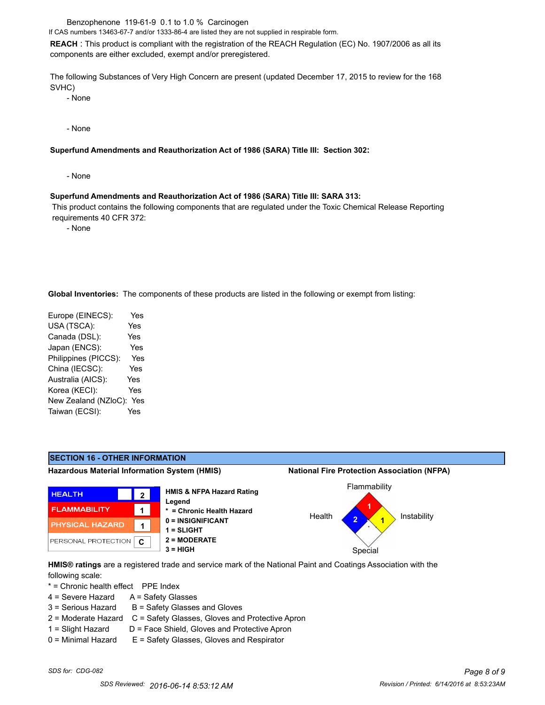Benzophenone 119-61-9 0.1 to 1.0 % Carcinogen

If CAS numbers 13463-67-7 and/or 1333-86-4 are listed they are not supplied in respirable form.

**REACH** : This product is compliant with the registration of the REACH Regulation (EC) No. 1907/2006 as all its components are either excluded, exempt and/or preregistered.

The following Substances of Very High Concern are present (updated December 17, 2015 to review for the 168 SVHC)

- None

- None

#### **Superfund Amendments and Reauthorization Act of 1986 (SARA) Title III: Section 302:**

- None

#### **Superfund Amendments and Reauthorization Act of 1986 (SARA) Title III: SARA 313:**

 This product contains the following components that are regulated under the Toxic Chemical Release Reporting requirements 40 CFR 372:

- None

**Global Inventories:** The components of these products are listed in the following or exempt from listing:

| Europe (EINECS):     | Yes        |
|----------------------|------------|
| USA (TSCA):          | Yes        |
| Canada (DSL):        | <b>Yes</b> |
| Japan (ENCS):        | Yes        |
| Philippines (PICCS): | Yes        |
| China (IECSC):       | Yes        |
| Australia (AICS):    | Yes        |
| Korea (KECI):        | Yes        |
| New Zealand (NZloC): | Yes        |
| Taiwan (ECSI):       | Yes        |
|                      |            |



**HMIS® ratings** are a registered trade and service mark of the National Paint and Coatings Association with the following scale:

\* = Chronic health effect PPE Index

- 4 = Severe Hazard A = Safety Glasses
- $3 =$  Serious Hazard  $B =$  Safety Glasses and Gloves
- 2 = Moderate Hazard C = Safety Glasses, Gloves and Protective Apron
- 
- 1 = Slight Hazard D = Face Shield, Gloves and Protective Apron 0 = Minimal Hazard E = Safety Glasses, Gloves and Respirator